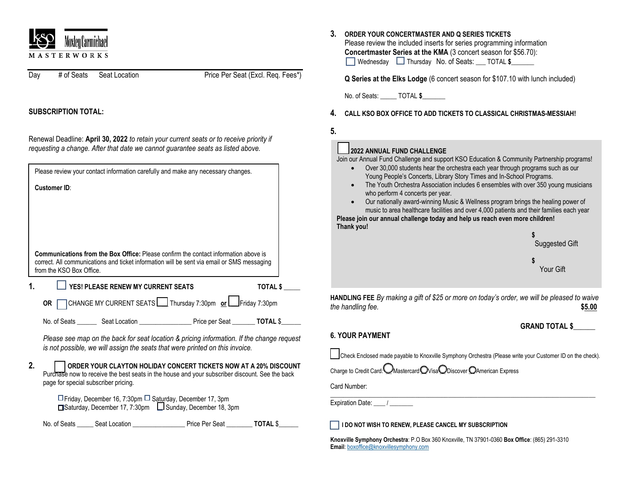

Day # of Seats Seat Location Price Per Seat (Excl. Req. Fees\*)

## **SUBSCRIPTION TOTAL:**

Renewal Deadline: **April 30, 2022** *to retain your current seats or to receive priority if requesting a change. After that date we cannot guarantee seats as listed above.*

|                                                                                                                                                                                                                      | Please review your contact information carefully and make any necessary changes.                                                                                                                                 |  |  |  |  |  |  |  |
|----------------------------------------------------------------------------------------------------------------------------------------------------------------------------------------------------------------------|------------------------------------------------------------------------------------------------------------------------------------------------------------------------------------------------------------------|--|--|--|--|--|--|--|
|                                                                                                                                                                                                                      | <b>Customer ID:</b>                                                                                                                                                                                              |  |  |  |  |  |  |  |
|                                                                                                                                                                                                                      |                                                                                                                                                                                                                  |  |  |  |  |  |  |  |
|                                                                                                                                                                                                                      |                                                                                                                                                                                                                  |  |  |  |  |  |  |  |
|                                                                                                                                                                                                                      |                                                                                                                                                                                                                  |  |  |  |  |  |  |  |
| <b>Communications from the Box Office:</b> Please confirm the contact information above is<br>correct. All communications and ticket information will be sent via email or SMS messaging<br>from the KSO Box Office. |                                                                                                                                                                                                                  |  |  |  |  |  |  |  |
|                                                                                                                                                                                                                      | YES! PLEASE RENEW MY CURRENT SEATS<br>1.<br><b>TOTAL \$</b>                                                                                                                                                      |  |  |  |  |  |  |  |
|                                                                                                                                                                                                                      | CHANGE MY CURRENT SEATS   Thursday 7:30pm or   Friday 7:30pm<br>OR                                                                                                                                               |  |  |  |  |  |  |  |
|                                                                                                                                                                                                                      |                                                                                                                                                                                                                  |  |  |  |  |  |  |  |
|                                                                                                                                                                                                                      | Please see map on the back for seat location & pricing information. If the change request<br>is not possible, we will assign the seats that were printed on this invoice.                                        |  |  |  |  |  |  |  |
|                                                                                                                                                                                                                      | 2.<br>ORDER YOUR CLAYTON HOLIDAY CONCERT TICKETS NOW AT A 20% DISCOUNT<br>Purchase now to receive the best seats in the house and your subscriber discount. See the back<br>page for special subscriber pricing. |  |  |  |  |  |  |  |
| □ Friday, December 16, 7:30pm □ Saturday, December 17, 3pm<br>□Saturday, December 17, 7:30pm □ Sunday, December 18, 3pm                                                                                              |                                                                                                                                                                                                                  |  |  |  |  |  |  |  |
|                                                                                                                                                                                                                      | No. of Seats<br>Seat Location<br>Price Per Seat<br><b>TOTAL \$</b>                                                                                                                                               |  |  |  |  |  |  |  |

| 3.                                                                                                                         | ORDER YOUR CONCERTMASTER AND Q SERIES TICKETS<br>Please review the included inserts for series programming information<br>Concertmaster Series at the KMA (3 concert season for \$56.70):<br>■ Wednesday ■ Thursday No. of Seats: __ TOTAL \$                                                                                                                                                                                                                                                                                                                                                                                                                                                                                                       |  |  |  |  |  |
|----------------------------------------------------------------------------------------------------------------------------|-----------------------------------------------------------------------------------------------------------------------------------------------------------------------------------------------------------------------------------------------------------------------------------------------------------------------------------------------------------------------------------------------------------------------------------------------------------------------------------------------------------------------------------------------------------------------------------------------------------------------------------------------------------------------------------------------------------------------------------------------------|--|--|--|--|--|
|                                                                                                                            | Q Series at the Elks Lodge (6 concert season for \$107.10 with lunch included)                                                                                                                                                                                                                                                                                                                                                                                                                                                                                                                                                                                                                                                                      |  |  |  |  |  |
|                                                                                                                            | No. of Seats: _____ TOTAL \$                                                                                                                                                                                                                                                                                                                                                                                                                                                                                                                                                                                                                                                                                                                        |  |  |  |  |  |
| 4.                                                                                                                         | CALL KSO BOX OFFICE TO ADD TICKETS TO CLASSICAL CHRISTMAS-MESSIAH!                                                                                                                                                                                                                                                                                                                                                                                                                                                                                                                                                                                                                                                                                  |  |  |  |  |  |
| 5.                                                                                                                         |                                                                                                                                                                                                                                                                                                                                                                                                                                                                                                                                                                                                                                                                                                                                                     |  |  |  |  |  |
|                                                                                                                            | 2022 ANNUAL FUND CHALLENGE<br>Join our Annual Fund Challenge and support KSO Education & Community Partnership programs!<br>Over 30,000 students hear the orchestra each year through programs such as our<br>Young People's Concerts, Library Story Times and In-School Programs.<br>The Youth Orchestra Association includes 6 ensembles with over 350 young musicians<br>$\bullet$<br>who perform 4 concerts per year.<br>Our nationally award-winning Music & Wellness program brings the healing power of<br>music to area healthcare facilities and over 4,000 patients and their families each year<br>Please join our annual challenge today and help us reach even more children!<br>Thank you!<br>\$<br>Suggested Gift<br>\$<br>Your Gift |  |  |  |  |  |
| HANDLING FEE By making a gift of \$25 or more on today's order, we will be pleased to waive<br>the handling fee.<br>\$5.00 |                                                                                                                                                                                                                                                                                                                                                                                                                                                                                                                                                                                                                                                                                                                                                     |  |  |  |  |  |
|                                                                                                                            | <b>GRAND TOTAL \$</b><br><b>6. YOUR PAYMENT</b>                                                                                                                                                                                                                                                                                                                                                                                                                                                                                                                                                                                                                                                                                                     |  |  |  |  |  |
|                                                                                                                            | Check Enclosed made payable to Knoxville Symphony Orchestra (Please write your Customer ID on the check).                                                                                                                                                                                                                                                                                                                                                                                                                                                                                                                                                                                                                                           |  |  |  |  |  |
| Charge to Credit Card: Mastercard OVisaODiscover OAmerican Express                                                         |                                                                                                                                                                                                                                                                                                                                                                                                                                                                                                                                                                                                                                                                                                                                                     |  |  |  |  |  |

Card Number:  $\mathcal{L}_\mathcal{L} = \{ \mathcal{L}_\mathcal{L} = \{ \mathcal{L}_\mathcal{L} = \{ \mathcal{L}_\mathcal{L} = \{ \mathcal{L}_\mathcal{L} = \{ \mathcal{L}_\mathcal{L} = \{ \mathcal{L}_\mathcal{L} = \{ \mathcal{L}_\mathcal{L} = \{ \mathcal{L}_\mathcal{L} = \{ \mathcal{L}_\mathcal{L} = \{ \mathcal{L}_\mathcal{L} = \{ \mathcal{L}_\mathcal{L} = \{ \mathcal{L}_\mathcal{L} = \{ \mathcal{L}_\mathcal{L} = \{ \mathcal{L}_\mathcal{$ 

Expiration Date: \_\_\_\_ / \_

### **I DO NOT WISH TO RENEW, PLEASE CANCEL MY SUBSCRIPTION**

**Knoxville Symphony Orchestra**: P.O Box 360 Knoxville, TN 37901-0360 **Box Office**: (865) 291-3310 **Email**[: boxoffice@knoxvillesymphony.com](mailto:boxoffice@knoxvillesymphony.com)